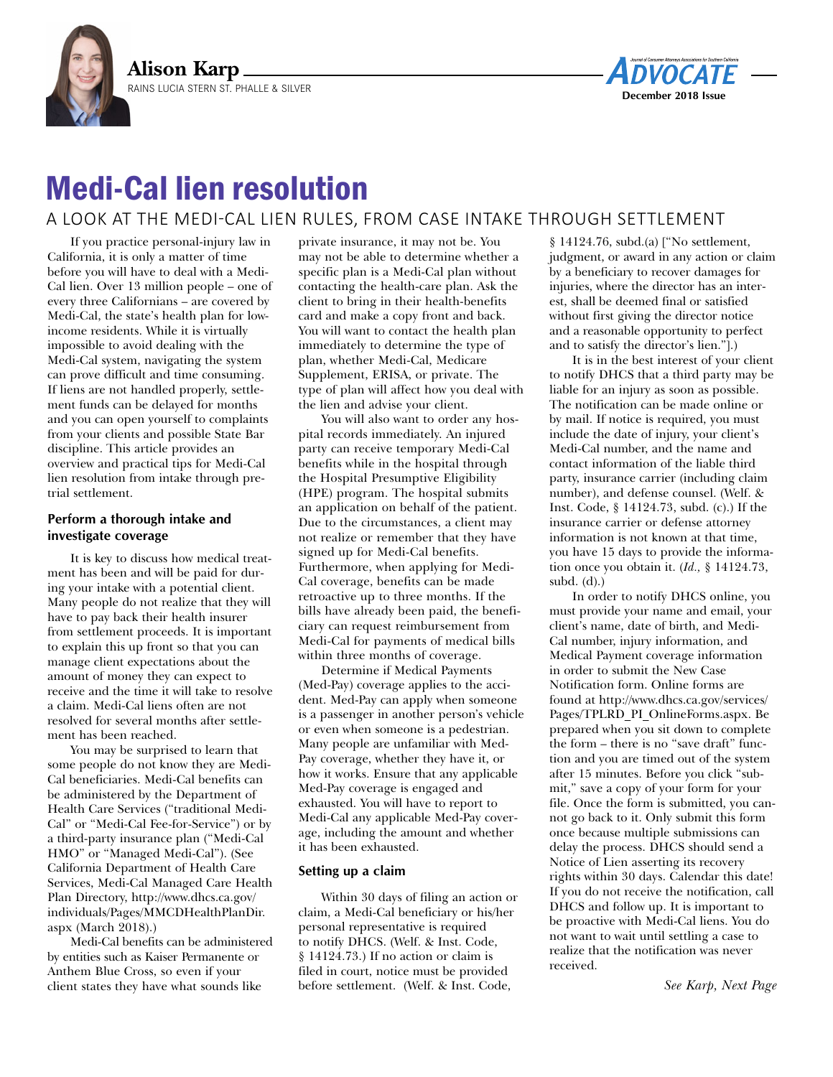



# Medi-Cal lien resolution

# A LOOK AT THE MEDI-CAL LIEN RULES, FROM CASE INTAKE THROUGH SETTLEMENT

If you practice personal-injury law in California, it is only a matter of time before you will have to deal with a Medi-Cal lien. Over 13 million people – one of every three Californians – are covered by Medi-Cal, the state's health plan for lowincome residents. While it is virtually impossible to avoid dealing with the Medi-Cal system, navigating the system can prove difficult and time consuming. If liens are not handled properly, settlement funds can be delayed for months and you can open yourself to complaints from your clients and possible State Bar discipline. This article provides an overview and practical tips for Medi-Cal lien resolution from intake through pretrial settlement.

# **Perform a thorough intake and investigate coverage**

It is key to discuss how medical treatment has been and will be paid for during your intake with a potential client. Many people do not realize that they will have to pay back their health insurer from settlement proceeds. It is important to explain this up front so that you can manage client expectations about the amount of money they can expect to receive and the time it will take to resolve a claim. Medi-Cal liens often are not resolved for several months after settlement has been reached.

You may be surprised to learn that some people do not know they are Medi-Cal beneficiaries. Medi-Cal benefits can be administered by the Department of Health Care Services ("traditional Medi-Cal" or "Medi-Cal Fee-for-Service") or by a third-party insurance plan ("Medi-Cal HMO" or "Managed Medi-Cal"). (See California Department of Health Care Services, Medi-Cal Managed Care Health Plan Directory, [http://www.dhcs.ca.gov/](http://www.dhcs.ca.gov/individuals/Pages/MMCDHealthPlanDir.aspx) [individuals/Pages/MMCDHealthPlanDir.](http://www.dhcs.ca.gov/individuals/Pages/MMCDHealthPlanDir.aspx) [aspx](http://www.dhcs.ca.gov/individuals/Pages/MMCDHealthPlanDir.aspx) (March 2018).)

Medi-Cal benefits can be administered by entities such as Kaiser Permanente or Anthem Blue Cross, so even if your client states they have what sounds like

private insurance, it may not be. You may not be able to determine whether a specific plan is a Medi-Cal plan without contacting the health-care plan. Ask the client to bring in their health-benefits card and make a copy front and back. You will want to contact the health plan immediately to determine the type of plan, whether Medi-Cal, Medicare Supplement, ERISA, or private. The type of plan will affect how you deal with the lien and advise your client.

You will also want to order any hospital records immediately. An injured party can receive temporary Medi-Cal benefits while in the hospital through the Hospital Presumptive Eligibility (HPE) program. The hospital submits an application on behalf of the patient. Due to the circumstances, a client may not realize or remember that they have signed up for Medi-Cal benefits. Furthermore, when applying for Medi-Cal coverage, benefits can be made retroactive up to three months. If the bills have already been paid, the beneficiary can request reimbursement from Medi-Cal for payments of medical bills within three months of coverage.

Determine if Medical Payments (Med-Pay) coverage applies to the accident. Med-Pay can apply when someone is a passenger in another person's vehicle or even when someone is a pedestrian. Many people are unfamiliar with Med-Pay coverage, whether they have it, or how it works. Ensure that any applicable Med-Pay coverage is engaged and exhausted. You will have to report to Medi-Cal any applicable Med-Pay coverage, including the amount and whether it has been exhausted.

#### **Setting up a claim**

Within 30 days of filing an action or claim, a Medi-Cal beneficiary or his/her personal representative is required to notify DHCS. (Welf. & Inst. Code, § 14124.73.) If no action or claim is filed in court, notice must be provided before settlement. (Welf. & Inst. Code,

§ 14124.76, subd.(a) ["No settlement, judgment, or award in any action or claim by a beneficiary to recover damages for injuries, where the director has an interest, shall be deemed final or satisfied without first giving the director notice and a reasonable opportunity to perfect and to satisfy the director's lien."].)

It is in the best interest of your client to notify DHCS that a third party may be liable for an injury as soon as possible. The notification can be made online or by mail. If notice is required, you must include the date of injury, your client's Medi-Cal number, and the name and contact information of the liable third party, insurance carrier (including claim number), and defense counsel. (Welf. & Inst. Code, § 14124.73, subd. (c).) If the insurance carrier or defense attorney information is not known at that time, you have 15 days to provide the information once you obtain it. (*Id.,* § 14124.73, subd. (d).)

In order to notify DHCS online, you must provide your name and email, your client's name, date of birth, and Medi-Cal number, injury information, and Medical Payment coverage information in order to submit the New Case Notification form. Online forms are found at [http://www.dhcs.ca.gov/services/](http://www.dhcs.ca.gov/services/Pages/TPLRD_PI_OnlineForms.aspx) [Pages/TPLRD\\_PI\\_OnlineForms.aspx.](http://www.dhcs.ca.gov/services/Pages/TPLRD_PI_OnlineForms.aspx) Be prepared when you sit down to complete the form – there is no "save draft" function and you are timed out of the system after 15 minutes. Before you click "submit," save a copy of your form for your file. Once the form is submitted, you cannot go back to it. Only submit this form once because multiple submissions can delay the process. DHCS should send a Notice of Lien asserting its recovery rights within 30 days. Calendar this date! If you do not receive the notification, call DHCS and follow up. It is important to be proactive with Medi-Cal liens. You do not want to wait until settling a case to realize that the notification was never received.

*See Karp, Next Page*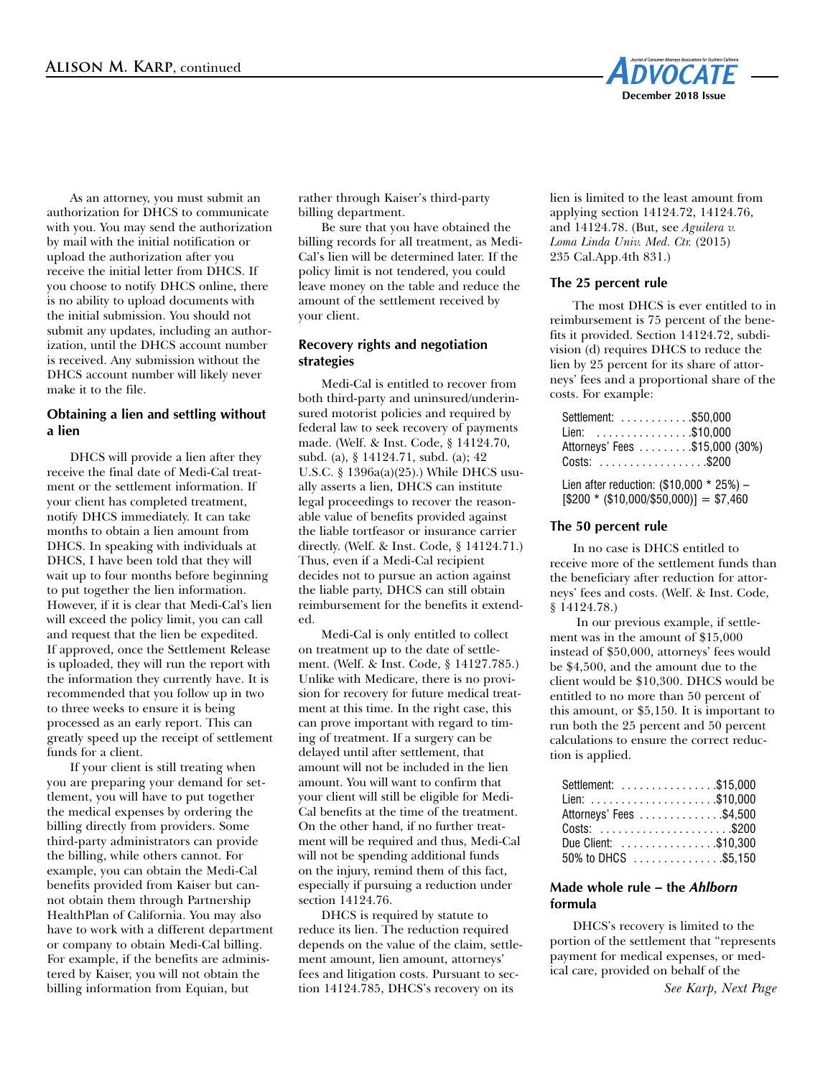

As an attorney, you must submit an authorization for DHCS to communicate with you. You may send the authorization by mail with the initial notification or upload the authorization after you receive the initial letter from DHCS. If you choose to notify DHCS online, there is no ability to upload documents with the initial submission. You should not submit any updates, including an authorization, until the DHCS account number is received. Any submission without the DHCS account number will likely never make it to the file.

# **Obtaining a lien and settling without a lien**

DHCS will provide a lien after they receive the final date of Medi-Cal treatment or the settlement information. If your client has completed treatment, notify DHCS immediately. It can take months to obtain a lien amount from DHCS. In speaking with individuals at DHCS, I have been told that they will wait up to four months before beginning to put together the lien information. However, if it is clear that Medi-Cal's lien will exceed the policy limit, you can call and request that the lien be expedited. If approved, once the Settlement Release is uploaded, they will run the report with the information they currently have. It is recommended that you follow up in two to three weeks to ensure it is being processed as an early report. This can greatly speed up the receipt of settlement funds for a client.

If your client is still treating when you are preparing your demand for settlement, you will have to put together the medical expenses by ordering the billing directly from providers. Some third-party administrators can provide the billing, while others cannot. For example, you can obtain the Medi-Cal benefits provided from Kaiser but cannot obtain them through Partnership HealthPlan of California. You may also have to work with a different department or company to obtain Medi-Cal billing. For example, if the benefits are administered by Kaiser, you will not obtain the billing information from Equian, but

rather through Kaiser's third-party billing department.

Be sure that you have obtained the billing records for all treatment, as Medi-Cal's lien will be determined later. If the policy limit is not tendered, you could leave money on the table and reduce the amount of the settlement received by your client.

# **Recovery rights and negotiation strategies**

Medi-Cal is entitled to recover from both third-party and uninsured/underinsured motorist policies and required by federal law to seek recovery of payments made. (Welf. & Inst. Code, § 14124.70, subd. (a), § 14124.71, subd. (a); 42 U.S.C. § 1396a(a)(25).) While DHCS usually asserts a lien, DHCS can institute legal proceedings to recover the reasonable value of benefits provided against the liable tortfeasor or insurance carrier directly. (Welf. & Inst. Code, § 14124.71.) Thus, even if a Medi-Cal recipient decides not to pursue an action against the liable party, DHCS can still obtain reimbursement for the benefits it extended.

Medi-Cal is only entitled to collect on treatment up to the date of settlement. (Welf. & Inst. Code, § 14127.785.) Unlike with Medicare, there is no provision for recovery for future medical treatment at this time. In the right case, this can prove important with regard to timing of treatment. If a surgery can be delayed until after settlement, that amount will not be included in the lien amount. You will want to confirm that your client will still be eligible for Medi-Cal benefits at the time of the treatment. On the other hand, if no further treatment will be required and thus, Medi-Cal will not be spending additional funds on the injury, remind them of this fact, especially if pursuing a reduction under section 14124.76.

DHCS is required by statute to reduce its lien. The reduction required depends on the value of the claim, settlement amount, lien amount, attorneys' fees and litigation costs. Pursuant to section 14124.785, DHCS's recovery on its

lien is limited to the least amount from applying section 14124.72, 14124.76, and 14124.78. (But, see *Aguilera v. Loma Linda Univ. Med. Ctr.* (2015) 235 Cal.App.4th 831.)

## **The 25 percent rule**

The most DHCS is ever entitled to in reimbursement is 75 percent of the benefits it provided. Section 14124.72, subdivision (d) requires DHCS to reduce the lien by 25 percent for its share of attorneys' fees and a proportional share of the costs. For example:

| Settlement: \$50,000                       |  |
|--------------------------------------------|--|
| Lien: \$10,000                             |  |
| Attorneys' Fees \$15,000 (30%)             |  |
| Costs: \$200                               |  |
| Lien after reduction: $(\$10,000 * 25%) -$ |  |

 $[$200 * ($10,000/$50,000)] = $7,460$ 

# **The 50 percent rule**

In no case is DHCS entitled to receive more of the settlement funds than the beneficiary after reduction for attorneys' fees and costs. (Welf. & Inst. Code, § 14124.78.)

In our previous example, if settlement was in the amount of \$15,000 instead of \$50,000, attorneys' fees would be \$4,500, and the amount due to the client would be \$10,300. DHCS would be entitled to no more than 50 percent of this amount, or \$5,150. It is important to run both the 25 percent and 50 percent calculations to ensure the correct reduction is applied.

| Settlement: \$15,000                                     |  |
|----------------------------------------------------------|--|
|                                                          |  |
| Attorneys' Fees \$4,500                                  |  |
|                                                          |  |
| Due Client: \$10.300                                     |  |
| 50% to DHCS $\ldots \ldots \ldots \ldots \ldots$ \$5,150 |  |

# **Made whole rule – the** *Ahlborn* **formula**

DHCS's recovery is limited to the portion of the settlement that "represents payment for medical expenses, or medical care, provided on behalf of the

*See Karp, Next Page*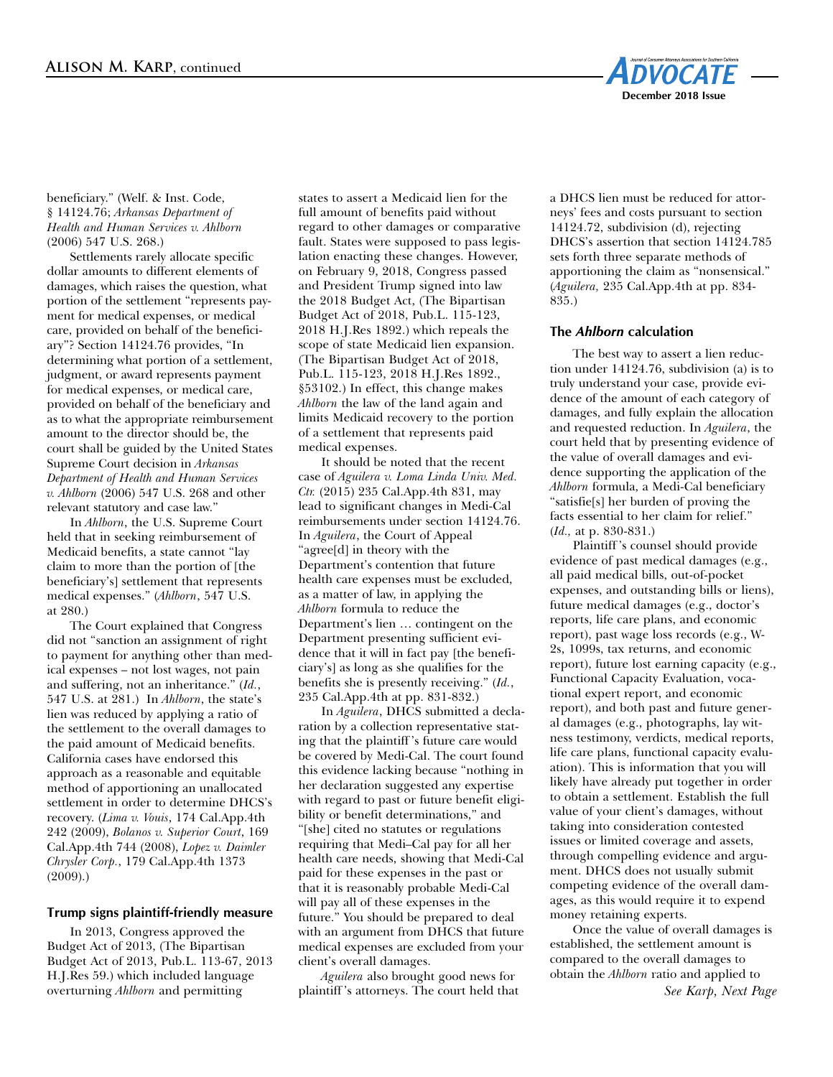

#### beneficiary." (Welf. & Inst. Code, § 14124.76; *Arkansas Department of Health and Human Services v. Ahlborn* (2006) 547 U.S. 268.)

Settlements rarely allocate specific dollar amounts to different elements of damages, which raises the question, what portion of the settlement "represents payment for medical expenses, or medical care, provided on behalf of the beneficiary"? Section 14124.76 provides, "In determining what portion of a settlement, judgment, or award represents payment for medical expenses, or medical care, provided on behalf of the beneficiary and as to what the appropriate reimbursement amount to the director should be, the court shall be guided by the United States Supreme Court decision in *Arkansas Department of Health and Human Services v. Ahlborn* (2006) 547 U.S. 268 and other relevant statutory and case law."

In *Ahlborn*, the U.S. Supreme Court held that in seeking reimbursement of Medicaid benefits, a state cannot "lay claim to more than the portion of [the beneficiary's] settlement that represents medical expenses." (*Ahlborn*, 547 U.S. at 280.)

The Court explained that Congress did not "sanction an assignment of right to payment for anything other than medical expenses – not lost wages, not pain and suffering, not an inheritance." (*Id.*, 547 U.S. at 281.) In *Ahlborn*, the state's lien was reduced by applying a ratio of the settlement to the overall damages to the paid amount of Medicaid benefits. California cases have endorsed this approach as a reasonable and equitable method of apportioning an unallocated settlement in order to determine DHCS's recovery. (*Lima v. Vouis*, 174 Cal.App.4th 242 (2009), *Bolanos v. Superior Court*, 169 Cal.App.4th 744 (2008), *Lopez v. Daimler Chrysler Corp.*, 179 Cal.App.4th 1373 (2009).)

## **Trump signs plaintiff-friendly measure**

In 2013, Congress approved the Budget Act of 2013, (The Bipartisan Budget Act of 2013, Pub.L. 113-67, 2013 H.J.Res 59.) which included language overturning *Ahlborn* and permitting

states to assert a Medicaid lien for the full amount of benefits paid without regard to other damages or comparative fault. States were supposed to pass legislation enacting these changes. However, on February 9, 2018, Congress passed and President Trump signed into law the 2018 Budget Act, (The Bipartisan Budget Act of 2018, Pub.L. 115-123, 2018 H.J.Res 1892.) which repeals the scope of state Medicaid lien expansion. (The Bipartisan Budget Act of 2018, Pub.L. 115-123, 2018 H.J.Res 1892., §53102.) In effect, this change makes *Ahlborn* the law of the land again and limits Medicaid recovery to the portion of a settlement that represents paid medical expenses.

It should be noted that the recent case of *Aguilera v. Loma Linda Univ. Med. Ctr.* (2015) 235 Cal.App.4th 831, may lead to significant changes in Medi-Cal reimbursements under section 14124.76. In *Aguilera*, the Court of Appeal "agree[d] in theory with the Department's contention that future health care expenses must be excluded, as a matter of law, in applying the *Ahlborn* formula to reduce the Department's lien … contingent on the Department presenting sufficient evidence that it will in fact pay [the beneficiary's] as long as she qualifies for the benefits she is presently receiving." (*Id.*, 235 Cal.App.4th at pp. 831-832.)

In *Aguilera*, DHCS submitted a declaration by a collection representative stating that the plaintiff 's future care would be covered by Medi-Cal. The court found this evidence lacking because "nothing in her declaration suggested any expertise with regard to past or future benefit eligibility or benefit determinations," and "[she] cited no statutes or regulations requiring that Medi–Cal pay for all her health care needs, showing that Medi-Cal paid for these expenses in the past or that it is reasonably probable Medi-Cal will pay all of these expenses in the future." You should be prepared to deal with an argument from DHCS that future medical expenses are excluded from your client's overall damages.

*Aguilera* also brought good news for plaintiff 's attorneys. The court held that a DHCS lien must be reduced for attorneys' fees and costs pursuant to section 14124.72, subdivision (d), rejecting DHCS's assertion that section 14124.785 sets forth three separate methods of apportioning the claim as "nonsensical." (*Aguilera,* 235 Cal.App.4th at pp. 834- 835.)

#### **The** *Ahlborn* **calculation**

The best way to assert a lien reduction under 14124.76, subdivision (a) is to truly understand your case, provide evidence of the amount of each category of damages, and fully explain the allocation and requested reduction. In *Aguilera*, the court held that by presenting evidence of the value of overall damages and evidence supporting the application of the *Ahlborn* formula, a Medi-Cal beneficiary "satisfie[s] her burden of proving the facts essential to her claim for relief." (*Id.,* at p. 830-831.)

Plaintiff 's counsel should provide evidence of past medical damages (e.g., all paid medical bills, out-of-pocket expenses, and outstanding bills or liens), future medical damages (e.g., doctor's reports, life care plans, and economic report), past wage loss records (e.g., W-2s, 1099s, tax returns, and economic report), future lost earning capacity (e.g., Functional Capacity Evaluation, vocational expert report, and economic report), and both past and future general damages (e.g., photographs, lay witness testimony, verdicts, medical reports, life care plans, functional capacity evaluation). This is information that you will likely have already put together in order to obtain a settlement. Establish the full value of your client's damages, without taking into consideration contested issues or limited coverage and assets, through compelling evidence and argument. DHCS does not usually submit competing evidence of the overall damages, as this would require it to expend money retaining experts.

Once the value of overall damages is established, the settlement amount is compared to the overall damages to obtain the *Ahlborn* ratio and applied to

*See Karp, Next Page*